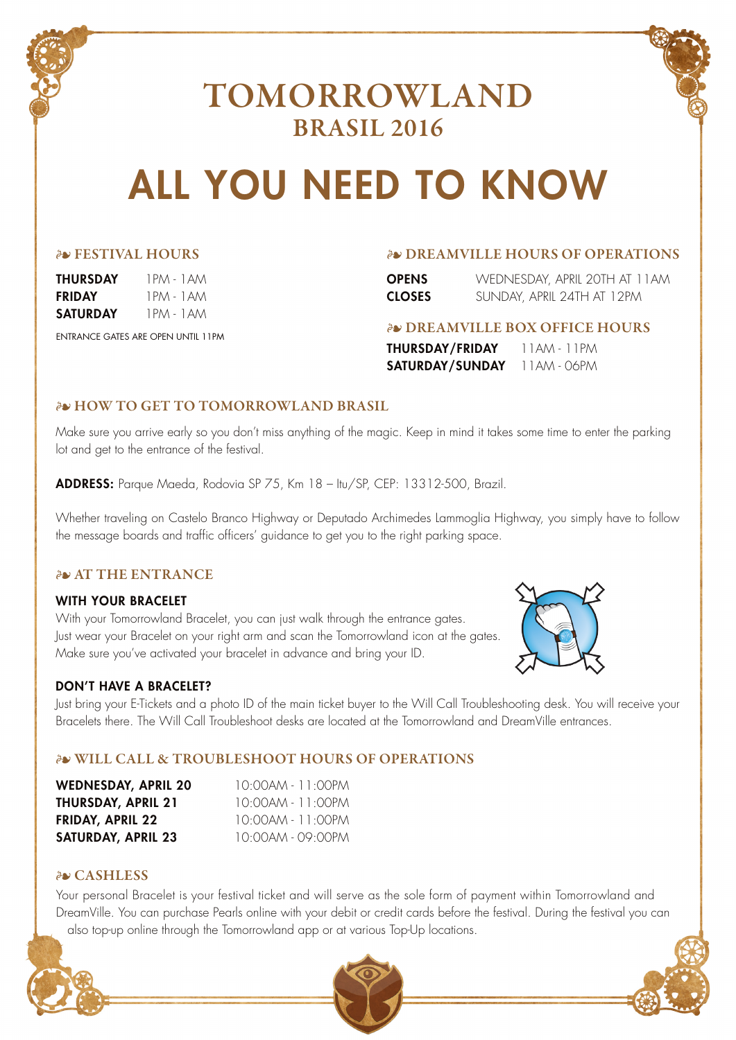

## TOMORROWLAND BRASIL 2016

# ALL YOU NEED TO KNOW

|  |  |  |  |  | <b>EXTIVAL HOURS</b> |
|--|--|--|--|--|----------------------|
|--|--|--|--|--|----------------------|

| THURSDAY | 1 PM - |
|----------|--------|
| FRIDAY   | 1 PM - |
| SATURDAY | 1 PM - |

ENTRANCE GATES ARE OPEN UNTIL 11PM

#### • FESTIVAL HOURS • DREAMVILLE HOURS OF OPERATIONS

| OPENS.        | WEDNESDAY, APRIL 20TH AT 11AM |
|---------------|-------------------------------|
| <b>CLOSES</b> | SUNDAY, APRIL 24TH AT 12PM    |

#### • DREAMVILLE BOX OFFICE HOURS

THURSDAY/FRIDAY 11AM - 11PM SATURDAY/SUNDAY 11AM - 06PM

#### *AN HOW TO GET TO TOMORROWLAND BRASIL*

1AM 1 AM 1 AM

Make sure you arrive early so you don't miss anything of the magic. Keep in mind it takes some time to enter the parking lot and get to the entrance of the festival.

ADDRESS: Parque Maeda, Rodovia SP 75, Km 18 – Itu/SP, CEP: 13312-500, Brazil.

Whether traveling on Castelo Branco Highway or Deputado Archimedes Lammoglia Highway, you simply have to follow the message boards and traffic officers' guidance to get you to the right parking space.

#### *AVAT THE ENTRANCE*

#### WITH YOUR BRACELET

With your Tomorrowland Bracelet, you can just walk through the entrance gates. Just wear your Bracelet on your right arm and scan the Tomorrowland icon at the gates. Make sure you've activated your bracelet in advance and bring your ID.

#### DON'T HAVE A BRACELET?

Just bring your E-Tickets and a photo ID of the main ticket buyer to the Will Call Troubleshooting desk. You will receive your Bracelets there. The Will Call Troubleshoot desks are located at the Tomorrowland and DreamVille entrances.

#### • WILL CALL & TROUBLESHOOT HOURS OF OPERATIONS

| <b>WEDNESDAY, APRIL 20</b> | $10.00$ am - 11.00pm         |
|----------------------------|------------------------------|
| THURSDAY, APRIL 21         | $10.00$ am - 11:00PM         |
| <b>FRIDAY, APRIL 22</b>    | $10.00$ am - 11.00PM         |
| <b>SATURDAY, APRIL 23</b>  | $10.00$ am - 09 $\cdot$ 00PM |

#### • CASHLESS

Your personal Bracelet is your festival ticket and will serve as the sole form of payment within Tomorrowland and DreamVille. You can purchase Pearls online with your debit or credit cards before the festival. During the festival you can also top-up online through the Tomorrowland app or at various Top-Up locations.